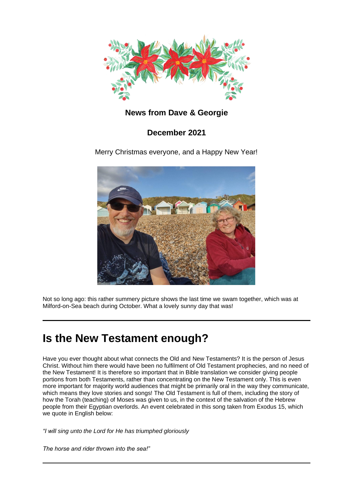

### **News from Dave & Georgie**

### **December 2021**

Merry Christmas everyone, and a Happy New Year!



Not so long ago: this rather summery picture shows the last time we swam together, which was at Milford-on-Sea beach during October. What a lovely sunny day that was!

## **Is the New Testament enough?**

Have you ever thought about what connects the Old and New Testaments? It is the person of Jesus Christ. Without him there would have been no fulfilment of Old Testament prophecies, and no need of the New Testament! It is therefore so important that in Bible translation we consider giving people portions from both Testaments, rather than concentrating on the New Testament only. This is even more important for majority world audiences that might be primarily oral in the way they communicate, which means they love stories and songs! The Old Testament is full of them, including the story of how the Torah (teaching) of Moses was given to us, in the context of the salvation of the Hebrew people from their Egyptian overlords. An event celebrated in this song taken from Exodus 15, which we quote in English below:

*"I will sing unto the Lord for He has triumphed gloriously*

*The horse and rider thrown into the sea!"*